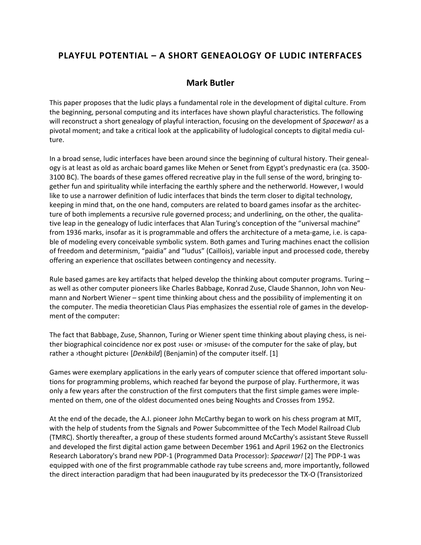## **PLAYFUL POTENTIAL – A SHORT GENEAOLOGY OF LUDIC INTERFACES**

## **Mark Butler**

This paper proposes that the ludic plays a fundamental role in the development of digital culture. From the beginning, personal computing and its interfaces have shown playful characteristics. The following will reconstruct a short genealogy of playful interaction, focusing on the development of *Spacewar!* as a pivotal moment; and take a critical look at the applicability of ludological concepts to digital media culture.

In a broad sense, ludic interfaces have been around since the beginning of cultural history. Their genealogy is at least as old as archaic board games like Mehen or Senet from Egypt's predynastic era (ca. 3500- 3100 BC). The boards of these games offered recreative play in the full sense of the word, bringing together fun and spirituality while interfacing the earthly sphere and the netherworld. However, I would like to use a narrower definition of ludic interfaces that binds the term closer to digital technology, keeping in mind that, on the one hand, computers are related to board games insofar as the architecture of both implements a recursive rule governed process; and underlining, on the other, the qualitative leap in the genealogy of ludic interfaces that Alan Turing's conception of the "universal machine" from 1936 marks, insofar as it is programmable and offers the architecture of a meta-game, i.e. is capable of modeling every conceivable symbolic system. Both games and Turing machines enact the collision of freedom and determinism, "paidia" and "ludus" (Caillois), variable input and processed code, thereby offering an experience that oscillates between contingency and necessity.

Rule based games are key artifacts that helped develop the thinking about computer programs. Turing – as well as other computer pioneers like Charles Babbage, Konrad Zuse, Claude Shannon, John von Neumann and Norbert Wiener – spent time thinking about chess and the possibility of implementing it on the computer. The media theoretician Claus Pias emphasizes the essential role of games in the development of the computer:

The fact that Babbage, Zuse, Shannon, Turing or Wiener spent time thinking about playing chess, is neither biographical coincidence nor ex post >use< or >misuse< of the computer for the sake of play, but rather a ›thought picture‹ [*Denkbild*] (Benjamin) of the computer itself. [1]

Games were exemplary applications in the early years of computer science that offered important solutions for programming problems, which reached far beyond the purpose of play. Furthermore, it was only a few years after the construction of the first computers that the first simple games were implemented on them, one of the oldest documented ones being Noughts and Crosses from 1952.

At the end of the decade, the A.I. pioneer John McCarthy began to work on his chess program at MIT, with the help of students from the Signals and Power Subcommittee of the Tech Model Railroad Club (TMRC). Shortly thereafter, a group of these students formed around McCarthy's assistant Steve Russell and developed the first digital action game between December 1961 and April 1962 on the Electronics Research Laboratory's brand new PDP-1 (Programmed Data Processor): *Spacewar!* [2] The PDP-1 was equipped with one of the first programmable cathode ray tube screens and, more importantly, followed the direct interaction paradigm that had been inaugurated by its predecessor the TX-O (Transistorized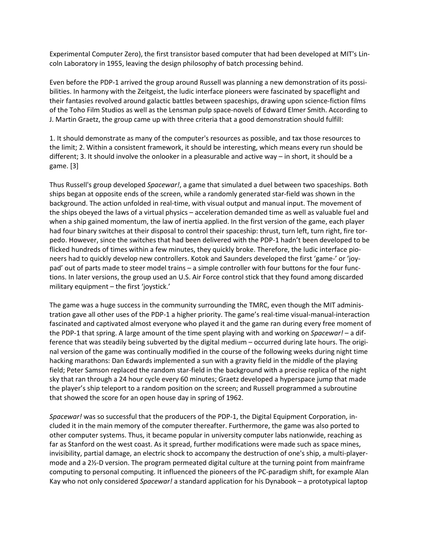Experimental Computer Zero), the first transistor based computer that had been developed at MIT's Lincoln Laboratory in 1955, leaving the design philosophy of batch processing behind.

Even before the PDP-1 arrived the group around Russell was planning a new demonstration of its possibilities. In harmony with the Zeitgeist, the ludic interface pioneers were fascinated by spaceflight and their fantasies revolved around galactic battles between spaceships, drawing upon science-fiction films of the Toho Film Studios as well as the Lensman pulp space-novels of Edward Elmer Smith. According to J. Martin Graetz, the group came up with three criteria that a good demonstration should fulfill:

1. It should demonstrate as many of the computer's resources as possible, and tax those resources to the limit; 2. Within a consistent framework, it should be interesting, which means every run should be different; 3. It should involve the onlooker in a pleasurable and active way – in short, it should be a game. [3]

Thus Russell's group developed *Spacewar!*, a game that simulated a duel between two spaceships. Both ships began at opposite ends of the screen, while a randomly generated star-field was shown in the background. The action unfolded in real-time, with visual output and manual input. The movement of the ships obeyed the laws of a virtual physics – acceleration demanded time as well as valuable fuel and when a ship gained momentum, the law of inertia applied. In the first version of the game, each player had four binary switches at their disposal to control their spaceship: thrust, turn left, turn right, fire torpedo. However, since the switches that had been delivered with the PDP-1 hadn't been developed to be flicked hundreds of times within a few minutes, they quickly broke. Therefore, the ludic interface pioneers had to quickly develop new controllers. Kotok and Saunders developed the first 'game-' or 'joypad' out of parts made to steer model trains – a simple controller with four buttons for the four functions. In later versions, the group used an U.S. Air Force control stick that they found among discarded military equipment – the first 'joystick.'

The game was a huge success in the community surrounding the TMRC, even though the MIT administration gave all other uses of the PDP-1 a higher priority. The game's real-time visual-manual-interaction fascinated and captivated almost everyone who played it and the game ran during every free moment of the PDP-1 that spring. A large amount of the time spent playing with and working on *Spacewar!* – a difference that was steadily being subverted by the digital medium – occurred during late hours. The original version of the game was continually modified in the course of the following weeks during night time hacking marathons: Dan Edwards implemented a sun with a gravity field in the middle of the playing field; Peter Samson replaced the random star-field in the background with a precise replica of the night sky that ran through a 24 hour cycle every 60 minutes; Graetz developed a hyperspace jump that made the player's ship teleport to a random position on the screen; and Russell programmed a subroutine that showed the score for an open house day in spring of 1962.

*Spacewar!* was so successful that the producers of the PDP-1, the Digital Equipment Corporation, included it in the main memory of the computer thereafter. Furthermore, the game was also ported to other computer systems. Thus, it became popular in university computer labs nationwide, reaching as far as Stanford on the west coast. As it spread, further modifications were made such as space mines, invisibility, partial damage, an electric shock to accompany the destruction of one's ship, a multi-playermode and a 2½-D version. The program permeated digital culture at the turning point from mainframe computing to personal computing. It influenced the pioneers of the PC-paradigm shift, for example Alan Kay who not only considered *Spacewar!* a standard application for his Dynabook – a prototypical laptop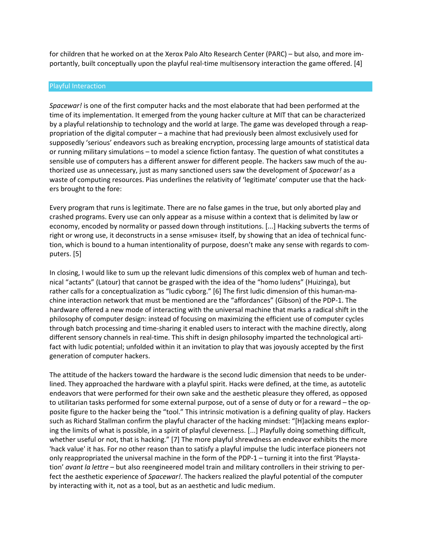for children that he worked on at the Xerox Palo Alto Research Center (PARC) – but also, and more importantly, built conceptually upon the playful real-time multisensory interaction the game offered. [4]

## Playful Interaction

*Spacewar!* is one of the first computer hacks and the most elaborate that had been performed at the time of its implementation. It emerged from the young hacker culture at MIT that can be characterized by a playful relationship to technology and the world at large. The game was developed through a reappropriation of the digital computer – a machine that had previously been almost exclusively used for supposedly 'serious' endeavors such as breaking encryption, processing large amounts of statistical data or running military simulations – to model a science fiction fantasy. The question of what constitutes a sensible use of computers has a different answer for different people. The hackers saw much of the authorized use as unnecessary, just as many sanctioned users saw the development of *Spacewar!* as a waste of computing resources. Pias underlines the relativity of 'legitimate' computer use that the hackers brought to the fore:

Every program that runs is legitimate. There are no false games in the true, but only aborted play and crashed programs. Every use can only appear as a misuse within a context that is delimited by law or economy, encoded by normality or passed down through institutions. [...] Hacking subverts the terms of right or wrong use, it deconstructs in a sense »misuse« itself, by showing that an idea of technical function, which is bound to a human intentionality of purpose, doesn't make any sense with regards to computers. [5]

In closing, I would like to sum up the relevant ludic dimensions of this complex web of human and technical "actants" (Latour) that cannot be grasped with the idea of the "homo ludens" (Huizinga), but rather calls for a conceptualization as "ludic cyborg." [6] The first ludic dimension of this human-machine interaction network that must be mentioned are the "affordances" (Gibson) of the PDP-1. The hardware offered a new mode of interacting with the universal machine that marks a radical shift in the philosophy of computer design: instead of focusing on maximizing the efficient use of computer cycles through batch processing and time-sharing it enabled users to interact with the machine directly, along different sensory channels in real-time. This shift in design philosophy imparted the technological artifact with ludic potential; unfolded within it an invitation to play that was joyously accepted by the first generation of computer hackers.

The attitude of the hackers toward the hardware is the second ludic dimension that needs to be underlined. They approached the hardware with a playful spirit. Hacks were defined, at the time, as autotelic endeavors that were performed for their own sake and the aesthetic pleasure they offered, as opposed to utilitarian tasks performed for some external purpose, out of a sense of duty or for a reward – the opposite figure to the hacker being the "tool." This intrinsic motivation is a defining quality of play. Hackers such as Richard Stallman confirm the playful character of the hacking mindset: "[H]acking means exploring the limits of what is possible, in a spirit of playful cleverness. [...] Playfully doing something difficult, whether useful or not, that is hacking." [7] The more playful shrewdness an endeavor exhibits the more 'hack value' it has. For no other reason than to satisfy a playful impulse the ludic interface pioneers not only reappropriated the universal machine in the form of the PDP-1 – turning it into the first 'Playstation' *avant la lettre* – but also reengineered model train and military controllers in their striving to perfect the aesthetic experience of *Spacewar!*. The hackers realized the playful potential of the computer by interacting with it, not as a tool, but as an aesthetic and ludic medium.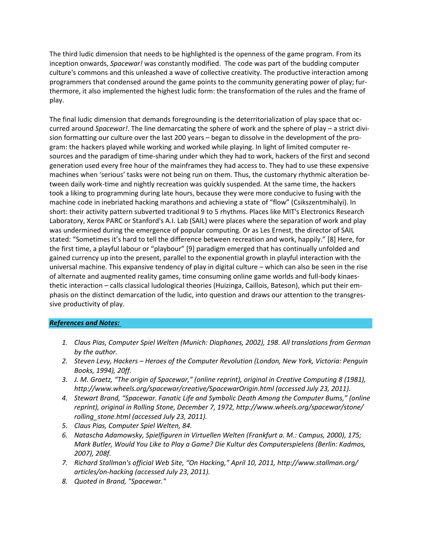The third ludic dimension that needs to be highlighted is the openness of the game program. From its inception onwards, *Spacewar!* was constantly modified. The code was part of the budding computer culture's commons and this unleashed a wave of collective creativity. The productive interaction among programmers that condensed around the game points to the community generating power of play; furthermore, it also implemented the highest ludic form: the transformation of the rules and the frame of play.

The final ludic dimension that demands foregrounding is the deterritorialization of play space that occurred around *Spacewar!*. The line demarcating the sphere of work and the sphere of play – a strict division formatting our culture over the last 200 years – began to dissolve in the development of the program: the hackers played while working and worked while playing. In light of limited computer resources and the paradigm of time-sharing under which they had to work, hackers of the first and second generation used every free hour of the mainframes they had access to. They had to use these expensive machines when 'serious' tasks were not being run on them. Thus, the customary rhythmic alteration between daily work-time and nightly recreation was quickly suspended. At the same time, the hackers took a liking to programming during late hours, because they were more conducive to fusing with the machine code in inebriated hacking marathons and achieving a state of "flow" (Csikszentmihalyi). In short: their activity pattern subverted traditional 9 to 5 rhythms. Places like MIT's Electronics Research Laboratory, Xerox PARC or Stanford's A.I. Lab (SAIL) were places where the separation of work and play was undermined during the emergence of popular computing. Or as Les Ernest, the director of SAIL stated: "Sometimes it's hard to tell the difference between recreation and work, happily." [8] Here, for the first time, a playful labour or "playbour" [9] paradigm emerged that has continually unfolded and gained currency up into the present, parallel to the exponential growth in playful interaction with the universal machine. This expansive tendency of play in digital culture – which can also be seen in the rise of alternate and augmented reality games, time consuming online game worlds and full-body kinaesthetic interaction – calls classical ludological theories (Huizinga, Caillois, Bateson), which put their emphasis on the distinct demarcation of the ludic, into question and draws our attention to the transgressive productivity of play.

## *References and Notes:*

- *1. Claus Pias, Computer Spiel Welten (Munich: Diaphanes, 2002), 198. All translations from German by the author.*
- *2. Steven Levy, Hackers – Heroes of the Computer Revolution (London, New York, Victoria: Penguin Books, 1994), 20ff.*
- *3. J. M. Graetz, "The origin of Spacewar," (online reprint), original in Creative Computing 8 (1981), http://www.wheels.org/spacewar/creative/SpacewarOrigin.html (accessed July 23, 2011).*
- *4. Stewart Brand, "Spacewar. Fanatic Life and Symbolic Death Among the Computer Bums," (online reprint), original in Rolling Stone, December 7, 1972, http://www.wheels.org/spacewar/stone/ rolling\_stone.html (accessed July 23, 2011).*
- *5. Claus Pias, Computer Spiel Welten, 84.*
- *6. Natascha Adamowsky, Spielfiguren in Virtuellen Welten (Frankfurt a. M.: Campus, 2000), 175; Mark Butler, Would You Like to Play a Game? Die Kultur des Computerspielens (Berlin: Kadmos, 2007), 208f.*
- *7. Richard Stallman's official Web Site, "On Hacking," April 10, 2011, http://www.stallman.org/ articles/on-hacking (accessed July 23, 2011).*
- *8. Quoted in Brand, "Spacewar."*